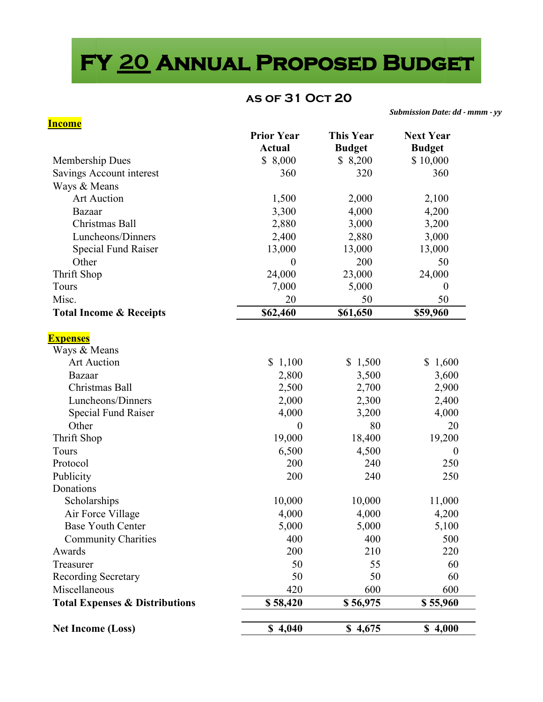# **FY \_\_\_ Annual Proposed Budget 20**

#### **as of 31 Oct 20**

*Submission Date: dd - mmm - yy* 

| <b>Income</b>                             |                   |                  |                  |
|-------------------------------------------|-------------------|------------------|------------------|
|                                           | <b>Prior Year</b> | <b>This Year</b> | <b>Next Year</b> |
|                                           | <b>Actual</b>     | <b>Budget</b>    | <b>Budget</b>    |
| Membership Dues                           | \$8,000           | \$ 8,200         | \$10,000         |
| Savings Account interest                  | 360               | 320              | 360              |
| Ways & Means                              |                   |                  |                  |
| Art Auction                               | 1,500             | 2,000            | 2,100            |
| Bazaar                                    | 3,300             | 4,000            | 4,200            |
| Christmas Ball                            | 2,880             | 3,000            | 3,200            |
| Luncheons/Dinners                         | 2,400             | 2,880            | 3,000            |
| <b>Special Fund Raiser</b>                | 13,000            | 13,000           | 13,000           |
| Other                                     | $\boldsymbol{0}$  | 200              | 50               |
| Thrift Shop                               | 24,000            | 23,000           | 24,000           |
| Tours                                     | 7,000             | 5,000            | $\theta$         |
| Misc.                                     | 20                | 50               | 50               |
| <b>Total Income &amp; Receipts</b>        | \$62,460          | \$61,650         | \$59,960         |
| <b>Expenses</b>                           |                   |                  |                  |
| Ways & Means                              |                   |                  |                  |
| <b>Art Auction</b>                        | \$1,100           | \$1,500          | \$1,600          |
| Bazaar                                    | 2,800             | 3,500            | 3,600            |
| Christmas Ball                            | 2,500             | 2,700            | 2,900            |
| Luncheons/Dinners                         | 2,000             | 2,300            | 2,400            |
| Special Fund Raiser                       | 4,000             | 3,200            | 4,000            |
| Other                                     | $\boldsymbol{0}$  | 80               | 20               |
| Thrift Shop                               | 19,000            | 18,400           | 19,200           |
| Tours                                     | 6,500             | 4,500            | $\theta$         |
| Protocol                                  | 200               | 240              | 250              |
| Publicity                                 | 200               | 240              | 250              |
| Donations                                 |                   |                  |                  |
| Scholarships                              | 10,000            | 10,000           | 11,000           |
| Air Force Village                         | 4,000             | 4,000            | 4,200            |
| <b>Base Youth Center</b>                  | 5,000             | 5,000            | 5,100            |
| <b>Community Charities</b>                | 400               | 400              | 500              |
| Awards                                    | 200               | 210              | 220              |
| Treasurer                                 | 50                | 55               | 60               |
| <b>Recording Secretary</b>                | 50                | 50               | 60               |
| Miscellaneous                             | 420               | 600              | 600              |
| <b>Total Expenses &amp; Distributions</b> | \$58,420          | \$56,975         | \$55,960         |
|                                           |                   |                  |                  |
| <b>Net Income (Loss)</b>                  | \$4,040           | \$4,675          | \$4,000          |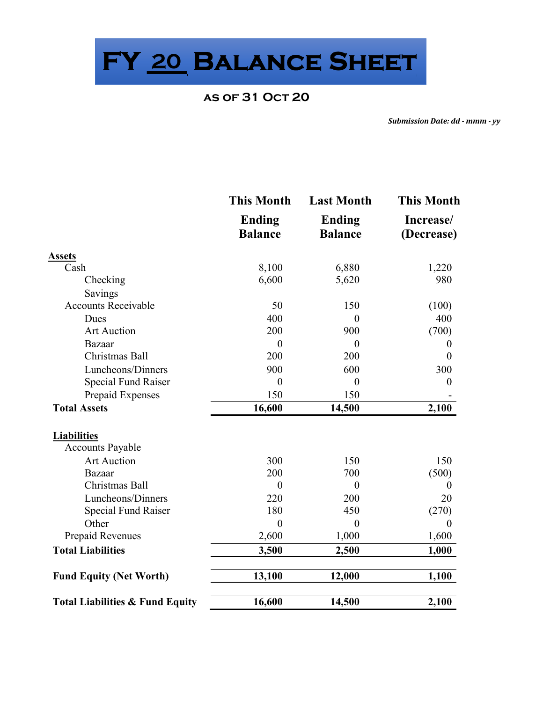**FY \_\_\_ 20 Balance Sheet** 

#### **as of 31 Oct 20**

*Submission Date: dd - mmm - yy* 

|                                            | <b>This Month</b>               | <b>Last Month</b>               | <b>This Month</b>       |  |
|--------------------------------------------|---------------------------------|---------------------------------|-------------------------|--|
|                                            | <b>Ending</b><br><b>Balance</b> | <b>Ending</b><br><b>Balance</b> | Increase/<br>(Decrease) |  |
| <b>Assets</b>                              |                                 |                                 |                         |  |
| Cash                                       | 8,100                           | 6,880                           | 1,220                   |  |
| Checking                                   | 6,600                           | 5,620                           | 980                     |  |
| Savings                                    |                                 |                                 |                         |  |
| <b>Accounts Receivable</b>                 | 50                              | 150                             | (100)                   |  |
| Dues                                       | 400                             | $\theta$                        | 400                     |  |
| <b>Art Auction</b>                         | 200                             | 900                             | (700)                   |  |
| Bazaar                                     | $\theta$                        | $\theta$                        | 0                       |  |
| Christmas Ball                             | 200                             | 200                             | $\theta$                |  |
| Luncheons/Dinners                          | 900                             | 600                             | 300                     |  |
| Special Fund Raiser                        | $\boldsymbol{0}$                | $\boldsymbol{0}$                | $\boldsymbol{0}$        |  |
| Prepaid Expenses                           | 150                             | 150                             |                         |  |
| <b>Total Assets</b>                        | 16,600                          | 14,500                          | 2,100                   |  |
| <b>Liabilities</b>                         |                                 |                                 |                         |  |
| <b>Accounts Payable</b>                    |                                 |                                 |                         |  |
| <b>Art Auction</b>                         | 300                             | 150                             | 150                     |  |
| Bazaar                                     | 200                             | 700                             | (500)                   |  |
| Christmas Ball                             | $\theta$                        | $\overline{0}$                  | $\theta$                |  |
| Luncheons/Dinners                          | 220                             | 200                             | 20                      |  |
| <b>Special Fund Raiser</b>                 | 180                             | 450                             | (270)                   |  |
| Other                                      | $\overline{0}$                  | $\theta$                        | $\theta$                |  |
| Prepaid Revenues                           | 2,600                           | 1,000                           | 1,600                   |  |
| <b>Total Liabilities</b>                   | 3,500                           | 2,500                           | 1,000                   |  |
| <b>Fund Equity (Net Worth)</b>             | 13,100                          | 12,000                          | 1,100                   |  |
| <b>Total Liabilities &amp; Fund Equity</b> | 16,600                          | 14,500                          | 2,100                   |  |